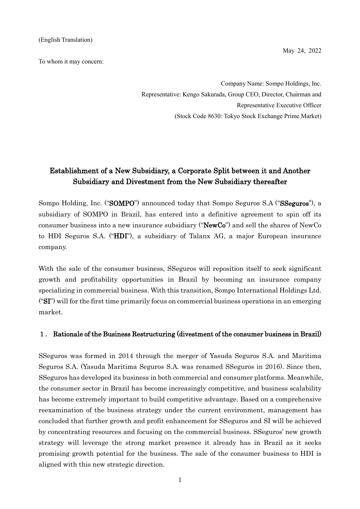To whom it may concern:

May 24, 2022

Company Name: Sompo Holdings, Inc. Representative: Kengo Sakurada, Group CEO, Director, Chairman and Representative Executive Officer (Stock Code 8630: Tokyo Stock Exchange Prime Market)

## Establishment of a New Subsidiary, a Corporate Split between it and Another Subsidiary and Divestment from the New Subsidiary thereafter

Sompo Holding, Inc. ("SOMPO") announced today that Sompo Seguros S.A ("SSeguros"), a subsidiary of SOMPO in Brazil, has entered into a definitive agreement to spin off its consumer business into a new insurance subsidiary ("NewCo") and sell the shares of NewCo to HDI Seguros S.A. ("HDI"), a subsidiary of Talanx AG, a major European insurance company.

With the sale of the consumer business, SSeguros will reposition itself to seek significant growth and profitability opportunities in Brazil by becoming an insurance company specializing in commercial business. With this transition, Sompo International Holdings Ltd. (" $ST$ ) will for the first time primarily focus on commercial business operations in an emerging market.

#### 1. Rationale of the Business Restructuring (divestment of the consumer business in Brazil)

SSeguros was formed in 2014 through the merger of Yasuda Seguros S.A. and Maritima Seguros S.A. (Yasuda Maritima Seguros S.A. was renamed SSeguros in 2016). Since then, SSeguros has developed its business in both commercial and consumer platforms. Meanwhile, the consumer sector in Brazil has become increasingly competitive, and business scalability has become extremely important to build competitive advantage. Based on a comprehensive reexamination of the business strategy under the current environment, management has concluded that further growth and profit enhancement for SSeguros and SI will be achieved by concentrating resources and focusing on the commercial business. SSeguros' new growth strategy will leverage the strong market presence it already has in Brazil as it seeks promising growth potential for the business. The sale of the consumer business to HDI is aligned with this new strategic direction.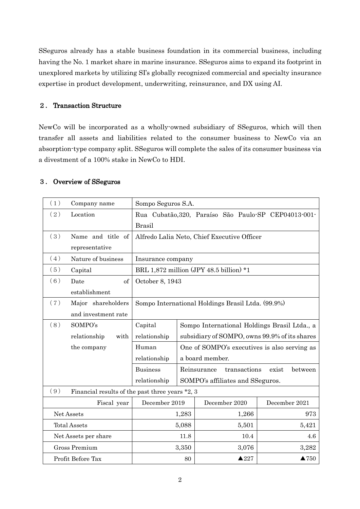SSeguros already has a stable business foundation in its commercial business, including having the No. 1 market share in marine insurance. SSeguros aims to expand its footprint in unexplored markets by utilizing SI's globally recognized commercial and specialty insurance expertise in product development, underwriting, reinsurance, and DX using AI.

### 2. Transaction Structure

NewCo will be incorporated as a wholly-owned subsidiary of SSeguros, which will then transfer all assets and liabilities related to the consumer business to NewCo via an absorption-type company split. SSeguros will complete the sales of its consumer business via a divestment of a 100% stake in NewCo to HDI.

### 3. Overview of SSeguros

| (1)                                                    | Company name         | Sompo Seguros S.A.                                |                 |                 |                                  |                                                      |
|--------------------------------------------------------|----------------------|---------------------------------------------------|-----------------|-----------------|----------------------------------|------------------------------------------------------|
| (2)                                                    | Location             |                                                   |                 |                 |                                  | Rua Cubatão, 320, Paraíso São Paulo-SP CEP04013-001- |
|                                                        |                      | <b>Brasil</b>                                     |                 |                 |                                  |                                                      |
| (3)                                                    | Name and title of    | Alfredo Lalia Neto, Chief Executive Officer       |                 |                 |                                  |                                                      |
|                                                        | representative       |                                                   |                 |                 |                                  |                                                      |
| (4)                                                    | Nature of business   | Insurance company                                 |                 |                 |                                  |                                                      |
| (5)                                                    | Capital              | BRL 1,872 million (JPY 48.5 billion) $*1$         |                 |                 |                                  |                                                      |
| (6)                                                    | of<br>Date           |                                                   | October 8, 1943 |                 |                                  |                                                      |
|                                                        | establishment        |                                                   |                 |                 |                                  |                                                      |
| (7)                                                    | Major shareholders   | Sompo International Holdings Brasil Ltda. (99.9%) |                 |                 |                                  |                                                      |
|                                                        | and investment rate  |                                                   |                 |                 |                                  |                                                      |
| (8)                                                    | SOMPO's              | Capital                                           |                 |                 |                                  | Sompo International Holdings Brasil Ltda., a         |
|                                                        | relationship<br>with | relationship                                      |                 |                 |                                  | subsidiary of SOMPO, owns 99.9% of its shares        |
|                                                        | the company          | Human                                             |                 |                 |                                  | One of SOMPO's executives is also serving as         |
|                                                        |                      | relationship                                      |                 | a board member. |                                  |                                                      |
|                                                        |                      | <b>Business</b>                                   |                 | Reinsurance     | transactions                     | between<br>exist                                     |
|                                                        |                      | relationship                                      |                 |                 | SOMPO's affiliates and SSeguros. |                                                      |
| (9)<br>Financial results of the past three years *2, 3 |                      |                                                   |                 |                 |                                  |                                                      |
|                                                        | Fiscal year          | December 2019                                     |                 |                 | December 2020                    | December 2021                                        |
| Net Assets                                             |                      |                                                   | 1,283           |                 | 1,266                            | 973                                                  |
| <b>Total Assets</b>                                    |                      |                                                   | 5,088           |                 | 5,501                            | 5,421                                                |
| Net Assets per share                                   |                      |                                                   | 11.8            |                 | 10.4                             | 4.6                                                  |
| <b>Gross Premium</b>                                   |                      |                                                   | 3,350           |                 | 3,076                            | 3,282                                                |
| Profit Before Tax                                      |                      |                                                   | 80              |                 | $\triangle 227$                  | $\blacktriangle$ 750                                 |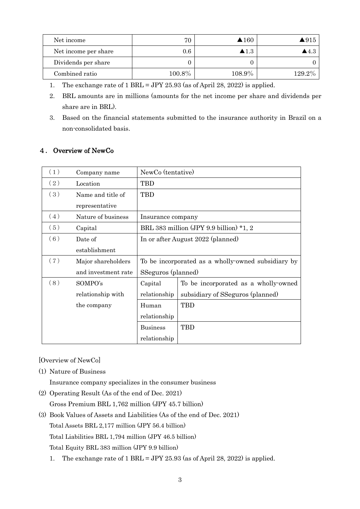| Net income           | 70     | $\triangle$ 160      | $\blacktriangle 915$ |
|----------------------|--------|----------------------|----------------------|
| Net income per share | 0.6    | $\blacktriangle 1.3$ | ▲4.3                 |
| Dividends per share  |        |                      |                      |
| Combined ratio       | 100.8% | 108.9%               | $129.2\%$            |

- 1. The exchange rate of 1 BRL = JPY 25.93 (as of April 28, 2022) is applied.
- 2. BRL amounts are in millions (amounts for the net income per share and dividends per share are in BRL).
- 3. Based on the financial statements submitted to the insurance authority in Brazil on a non-consolidated basis.

### 4. Overview of NewCo

| (1) | Company name        | NewCo (tentative)                       |                                                    |  |
|-----|---------------------|-----------------------------------------|----------------------------------------------------|--|
| (2) | Location            | TBD                                     |                                                    |  |
| (3) | Name and title of   | TBD                                     |                                                    |  |
|     | representative      |                                         |                                                    |  |
| (4) | Nature of business  | Insurance company                       |                                                    |  |
| (5) | Capital             | BRL 383 million (JPY 9.9 billion) *1, 2 |                                                    |  |
| (6) | Date of             | In or after August 2022 (planned)       |                                                    |  |
|     | establishment       |                                         |                                                    |  |
| (7) | Major shareholders  |                                         | To be incorporated as a wholly-owned subsidiary by |  |
|     | and investment rate | SSeguros (planned)                      |                                                    |  |
| (8) | SOMPO's             | Capital                                 | To be incorporated as a wholly-owned               |  |
|     | relationship with   | relationship                            | subsidiary of SSeguros (planned)                   |  |
|     | the company         | Human                                   | TBD                                                |  |
|     |                     | relationship                            |                                                    |  |
|     |                     | <b>Business</b>                         | TBD                                                |  |
|     |                     | relationship                            |                                                    |  |

[Overview of NewCo]

(1) Nature of Business

Insurance company specializes in the consumer business

(2) Operating Result (As of the end of Dec. 2021)

Gross Premium BRL 1,762 million (JPY 45.7 billion)

- (3) Book Values of Assets and Liabilities (As of the end of Dec. 2021) Total Assets BRL 2,177 million (JPY 56.4 billion) Total Liabilities BRL 1,794 million (JPY 46.5 billion) Total Equity BRL 383 million (JPY 9.9 billion)
	- 1. The exchange rate of 1 BRL = JPY 25.93 (as of April 28, 2022) is applied.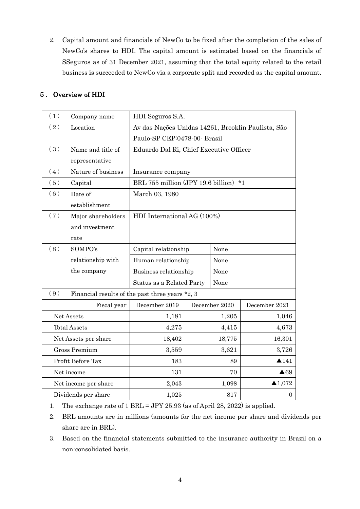2. Capital amount and financials of NewCo to be fixed after the completion of the sales of NewCo's shares to HDI. The capital amount is estimated based on the financials of SSeguros as of 31 December 2021, assuming that the total equity related to the retail business is succeeded to NewCo via a corporate split and recorded as the capital amount.

| Overview of HDI<br>5. |  |
|-----------------------|--|
|-----------------------|--|

| (1)                  | Company name                                    | HDI Seguros S.A.                                   |                             |                                 |                  |
|----------------------|-------------------------------------------------|----------------------------------------------------|-----------------------------|---------------------------------|------------------|
| (2)                  | Location                                        | Av das Nações Unidas 14261, Brooklin Paulista, São |                             |                                 |                  |
|                      |                                                 | Paulo-SP CEP:0478-00- Brasil                       |                             |                                 |                  |
| (3)                  | Name and title of                               | Eduardo Dal Ri, Chief Executive Officer            |                             |                                 |                  |
|                      | representative                                  |                                                    |                             |                                 |                  |
| (4)                  | Nature of business                              | Insurance company                                  |                             |                                 |                  |
| (5)                  | Capital                                         | BRL 755 million (JPY 19.6 billion) *1              |                             |                                 |                  |
| (6)                  | Date of                                         | March 03, 1980                                     |                             |                                 |                  |
|                      | establishment                                   |                                                    |                             |                                 |                  |
| (7)                  | Major shareholders                              |                                                    | HDI International AG (100%) |                                 |                  |
|                      | and investment                                  |                                                    |                             |                                 |                  |
|                      | rate                                            |                                                    |                             |                                 |                  |
| (8)                  | SOMPO's                                         | Capital relationship                               | None                        |                                 |                  |
|                      | relationship with                               | Human relationship                                 | None                        |                                 |                  |
|                      | the company                                     | Business relationship                              | None                        |                                 |                  |
|                      |                                                 | Status as a Related Party                          | None                        |                                 |                  |
| (9)                  | Financial results of the past three years *2, 3 |                                                    |                             |                                 |                  |
|                      | Fiscal year                                     | December 2019                                      |                             | December 2020                   | December 2021    |
| Net Assets           |                                                 | 1,181                                              |                             | 1,205                           | 1,046            |
| <b>Total Assets</b>  |                                                 | 4,275                                              |                             | 4,415                           | 4,673            |
| Net Assets per share |                                                 | 18,402                                             |                             | 18,775                          | 16,301           |
| Gross Premium        |                                                 | 3,559                                              | 3,621                       |                                 | 3,726            |
| Profit Before Tax    |                                                 | 183                                                |                             | $\triangle$ 141<br>89           |                  |
| Net income           |                                                 | 131                                                |                             | 70<br>$\triangle 69$            |                  |
| Net income per share |                                                 | 2,043                                              |                             | $\blacktriangle$ 1,072<br>1,098 |                  |
| Dividends per share  |                                                 | 1,025                                              |                             | 817                             | $\boldsymbol{0}$ |

1. The exchange rate of 1 BRL = JPY 25.93 (as of April 28, 2022) is applied.

2. BRL amounts are in millions (amounts for the net income per share and dividends per share are in BRL).

3. Based on the financial statements submitted to the insurance authority in Brazil on a non-consolidated basis.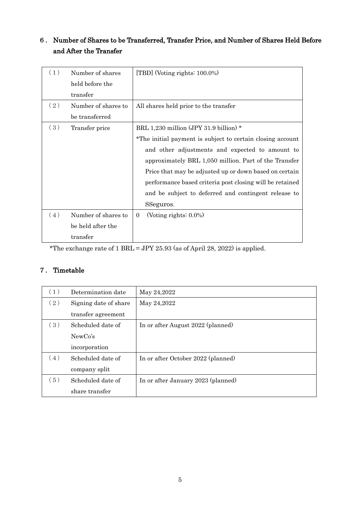# 6. Number of Shares to be Transferred, Transfer Price, and Number of Shares Held Before and After the Transfer

| (1) | Number of shares    | [TBD] (Voting rights: $100.0\%$ )                          |
|-----|---------------------|------------------------------------------------------------|
|     | held before the     |                                                            |
|     | transfer            |                                                            |
| (2) | Number of shares to | All shares held prior to the transfer                      |
|     | be transferred      |                                                            |
| (3) | Transfer price      | BRL 1,230 million (JPY 31.9 billion) *                     |
|     |                     | *The initial payment is subject to certain closing account |
|     |                     | and other adjustments and expected to amount to            |
|     |                     | approximately BRL 1,050 million. Part of the Transfer      |
|     |                     | Price that may be adjusted up or down based on certain     |
|     |                     | performance based criteria post closing will be retained   |
|     |                     | and be subject to deferred and contingent release to       |
|     |                     | SSeguros.                                                  |
| (4) | Number of shares to | (Voting rights: $0.0\%$ )<br>$\Omega$                      |
|     | be held after the   |                                                            |
|     | transfer            |                                                            |

\*The exchange rate of 1 BRL = JPY 25.93 (as of April 28, 2022) is applied.

# 7. Timetable

| (1) | Determination date    | May 24,2022                        |
|-----|-----------------------|------------------------------------|
| (2) | Signing date of share | May 24,2022                        |
|     | transfer agreement    |                                    |
| (3) | Scheduled date of     | In or after August 2022 (planned)  |
|     | NewCo's               |                                    |
|     | incorporation         |                                    |
| (4) | Scheduled date of     | In or after October 2022 (planned) |
|     | company split         |                                    |
| (5) | Scheduled date of     | In or after January 2023 (planned) |
|     | share transfer        |                                    |